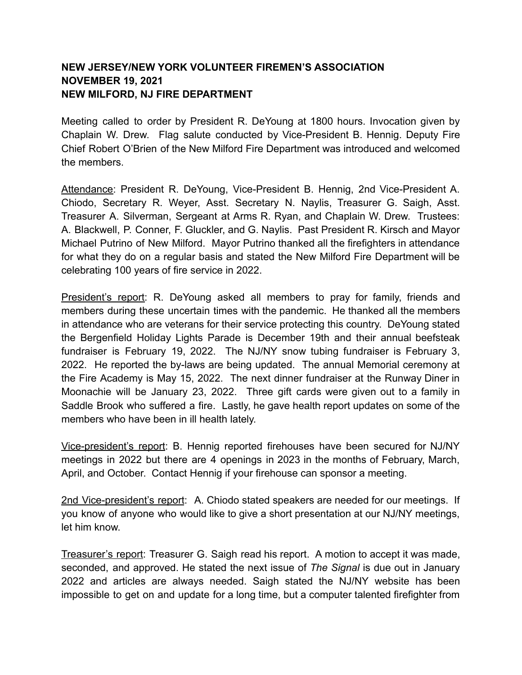## **NEW JERSEY/NEW YORK VOLUNTEER FIREMEN'S ASSOCIATION NOVEMBER 19, 2021 NEW MILFORD, NJ FIRE DEPARTMENT**

Meeting called to order by President R. DeYoung at 1800 hours. Invocation given by Chaplain W. Drew. Flag salute conducted by Vice-President B. Hennig. Deputy Fire Chief Robert O'Brien of the New Milford Fire Department was introduced and welcomed the members.

Attendance: President R. DeYoung, Vice-President B. Hennig, 2nd Vice-President A. Chiodo, Secretary R. Weyer, Asst. Secretary N. Naylis, Treasurer G. Saigh, Asst. Treasurer A. Silverman, Sergeant at Arms R. Ryan, and Chaplain W. Drew. Trustees: A. Blackwell, P. Conner, F. Gluckler, and G. Naylis. Past President R. Kirsch and Mayor Michael Putrino of New Milford. Mayor Putrino thanked all the firefighters in attendance for what they do on a regular basis and stated the New Milford Fire Department will be celebrating 100 years of fire service in 2022.

President's report: R. DeYoung asked all members to pray for family, friends and members during these uncertain times with the pandemic. He thanked all the members in attendance who are veterans for their service protecting this country. DeYoung stated the Bergenfield Holiday Lights Parade is December 19th and their annual beefsteak fundraiser is February 19, 2022. The NJ/NY snow tubing fundraiser is February 3, 2022. He reported the by-laws are being updated. The annual Memorial ceremony at the Fire Academy is May 15, 2022. The next dinner fundraiser at the Runway Diner in Moonachie will be January 23, 2022. Three gift cards were given out to a family in Saddle Brook who suffered a fire. Lastly, he gave health report updates on some of the members who have been in ill health lately.

Vice-president's report: B. Hennig reported firehouses have been secured for NJ/NY meetings in 2022 but there are 4 openings in 2023 in the months of February, March, April, and October. Contact Hennig if your firehouse can sponsor a meeting.

2nd Vice-president's report: A. Chiodo stated speakers are needed for our meetings. If you know of anyone who would like to give a short presentation at our NJ/NY meetings, let him know.

Treasurer's report: Treasurer G. Saigh read his report. A motion to accept it was made, seconded, and approved. He stated the next issue of *The Signal* is due out in January 2022 and articles are always needed. Saigh stated the NJ/NY website has been impossible to get on and update for a long time, but a computer talented firefighter from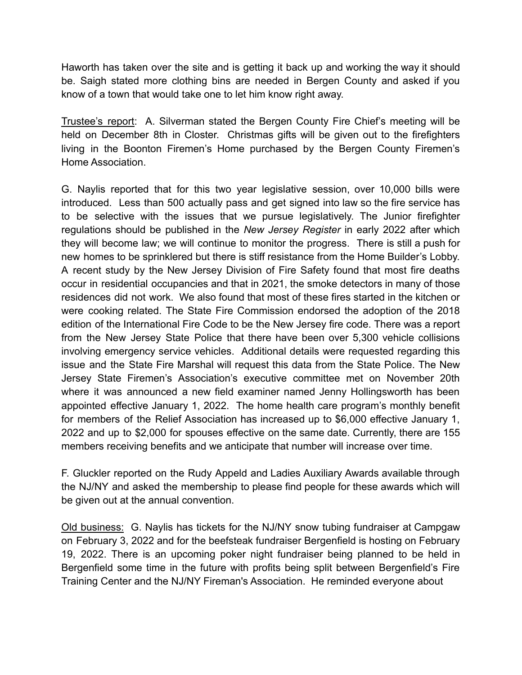Haworth has taken over the site and is getting it back up and working the way it should be. Saigh stated more clothing bins are needed in Bergen County and asked if you know of a town that would take one to let him know right away.

Trustee's report: A. Silverman stated the Bergen County Fire Chief's meeting will be held on December 8th in Closter. Christmas gifts will be given out to the firefighters living in the Boonton Firemen's Home purchased by the Bergen County Firemen's Home Association.

G. Naylis reported that for this two year legislative session, over 10,000 bills were introduced. Less than 500 actually pass and get signed into law so the fire service has to be selective with the issues that we pursue legislatively. The Junior firefighter regulations should be published in the *New Jersey Register* in early 2022 after which they will become law; we will continue to monitor the progress. There is still a push for new homes to be sprinklered but there is stiff resistance from the Home Builder's Lobby. A recent study by the New Jersey Division of Fire Safety found that most fire deaths occur in residential occupancies and that in 2021, the smoke detectors in many of those residences did not work. We also found that most of these fires started in the kitchen or were cooking related. The State Fire Commission endorsed the adoption of the 2018 edition of the International Fire Code to be the New Jersey fire code. There was a report from the New Jersey State Police that there have been over 5,300 vehicle collisions involving emergency service vehicles. Additional details were requested regarding this issue and the State Fire Marshal will request this data from the State Police. The New Jersey State Firemen's Association's executive committee met on November 20th where it was announced a new field examiner named Jenny Hollingsworth has been appointed effective January 1, 2022. The home health care program's monthly benefit for members of the Relief Association has increased up to \$6,000 effective January 1, 2022 and up to \$2,000 for spouses effective on the same date. Currently, there are 155 members receiving benefits and we anticipate that number will increase over time.

F. Gluckler reported on the Rudy Appeld and Ladies Auxiliary Awards available through the NJ/NY and asked the membership to please find people for these awards which will be given out at the annual convention.

Old business: G. Naylis has tickets for the NJ/NY snow tubing fundraiser at Campgaw on February 3, 2022 and for the beefsteak fundraiser Bergenfield is hosting on February 19, 2022. There is an upcoming poker night fundraiser being planned to be held in Bergenfield some time in the future with profits being split between Bergenfield's Fire Training Center and the NJ/NY Fireman's Association. He reminded everyone about